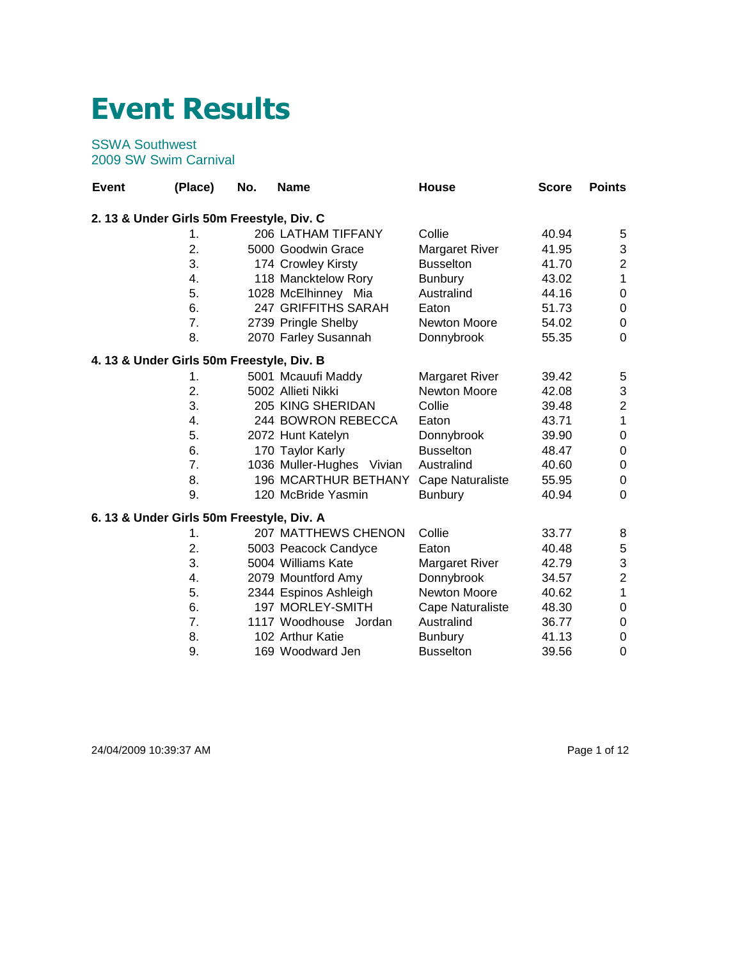## **Event Results**

## SSWA Southwest 2009 SW Swim Carnival

| <b>Event</b> | (Place)                                   | No. | <b>Name</b>                 | House                   | <b>Score</b> | <b>Points</b>  |
|--------------|-------------------------------------------|-----|-----------------------------|-------------------------|--------------|----------------|
|              | 2. 13 & Under Girls 50m Freestyle, Div. C |     |                             |                         |              |                |
|              | 1.                                        |     | 206 LATHAM TIFFANY          | Collie                  | 40.94        | 5              |
|              | 2.                                        |     | 5000 Goodwin Grace          | Margaret River          | 41.95        | 3              |
|              | 3.                                        |     | 174 Crowley Kirsty          | <b>Busselton</b>        | 41.70        | $\overline{2}$ |
|              | 4.                                        |     | 118 Mancktelow Rory         | <b>Bunbury</b>          | 43.02        | $\mathbf{1}$   |
|              | 5.                                        |     | 1028 McElhinney Mia         | Australind              | 44.16        | 0              |
|              | 6.                                        |     | 247 GRIFFITHS SARAH         | Eaton                   | 51.73        | 0              |
|              | 7.                                        |     | 2739 Pringle Shelby         | Newton Moore            | 54.02        | 0              |
|              | 8.                                        |     | 2070 Farley Susannah        | Donnybrook              | 55.35        | 0              |
|              | 4. 13 & Under Girls 50m Freestyle, Div. B |     |                             |                         |              |                |
|              | 1.                                        |     | 5001 Mcauufi Maddy          | <b>Margaret River</b>   | 39.42        | 5              |
|              | 2.                                        |     | 5002 Allieti Nikki          | Newton Moore            | 42.08        | 3              |
|              | 3.                                        |     | 205 KING SHERIDAN           | Collie                  | 39.48        | $\overline{2}$ |
|              | 4.                                        |     | 244 BOWRON REBECCA          | Eaton                   | 43.71        | 1              |
|              | 5.                                        |     | 2072 Hunt Katelyn           | Donnybrook              | 39.90        | 0              |
|              | 6.                                        |     | 170 Taylor Karly            | <b>Busselton</b>        | 48.47        | 0              |
|              | 7.                                        |     | 1036 Muller-Hughes Vivian   | Australind              | 40.60        | 0              |
|              | 8.                                        |     | <b>196 MCARTHUR BETHANY</b> | Cape Naturaliste        | 55.95        | 0              |
|              | 9.                                        |     | 120 McBride Yasmin          | <b>Bunbury</b>          | 40.94        | $\Omega$       |
|              | 6. 13 & Under Girls 50m Freestyle, Div. A |     |                             |                         |              |                |
|              | 1.                                        |     | <b>207 MATTHEWS CHENON</b>  | Collie                  | 33.77        | 8              |
|              | 2.                                        |     | 5003 Peacock Candyce        | Eaton                   | 40.48        | 5              |
|              | 3.                                        |     | 5004 Williams Kate          | <b>Margaret River</b>   | 42.79        | 3              |
|              | 4.                                        |     | 2079 Mountford Amy          | Donnybrook              | 34.57        | $\overline{2}$ |
|              | 5.                                        |     | 2344 Espinos Ashleigh       | Newton Moore            | 40.62        | $\overline{1}$ |
|              | 6.                                        |     | 197 MORLEY-SMITH            | <b>Cape Naturaliste</b> | 48.30        | 0              |
|              | 7.                                        |     | 1117 Woodhouse Jordan       | Australind              | 36.77        | 0              |
|              | 8.                                        |     | 102 Arthur Katie            | <b>Bunbury</b>          | 41.13        | 0              |
|              | 9.                                        |     | 169 Woodward Jen            | <b>Busselton</b>        | 39.56        | $\mathbf 0$    |

24/04/2009 10:39:37 AM Page 1 of 12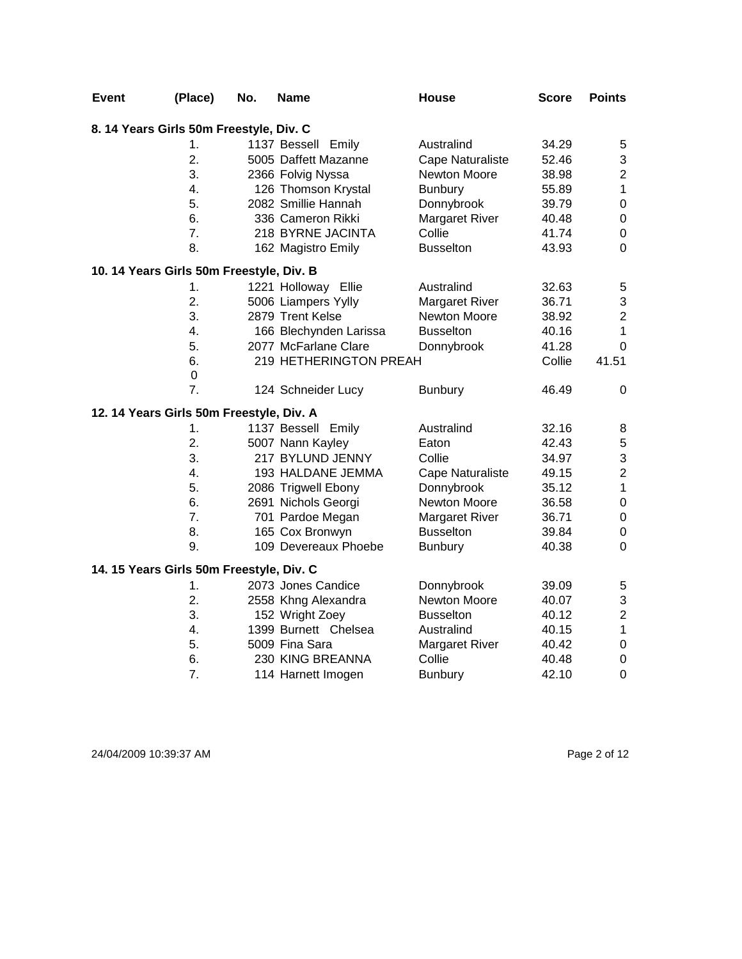| Event                                    | (Place)          | No. | Name                   | <b>House</b>          | Score  | <b>Points</b>           |
|------------------------------------------|------------------|-----|------------------------|-----------------------|--------|-------------------------|
| 8. 14 Years Girls 50m Freestyle, Div. C  |                  |     |                        |                       |        |                         |
|                                          | 1.               |     | 1137 Bessell Emily     | Australind            | 34.29  | 5                       |
|                                          | 2.               |     | 5005 Daffett Mazanne   | Cape Naturaliste      | 52.46  | 3                       |
|                                          | 3.               |     | 2366 Folvig Nyssa      | Newton Moore          | 38.98  | $\overline{c}$          |
|                                          | 4.               |     | 126 Thomson Krystal    | <b>Bunbury</b>        | 55.89  | $\mathbf 1$             |
|                                          | 5.               |     | 2082 Smillie Hannah    | Donnybrook            | 39.79  | $\boldsymbol{0}$        |
|                                          | 6.               |     | 336 Cameron Rikki      | <b>Margaret River</b> | 40.48  | $\boldsymbol{0}$        |
|                                          | 7.               |     | 218 BYRNE JACINTA      | Collie                | 41.74  | $\mathsf 0$             |
|                                          | 8.               |     | 162 Magistro Emily     | <b>Busselton</b>      | 43.93  | $\mathbf 0$             |
| 10. 14 Years Girls 50m Freestyle, Div. B |                  |     |                        |                       |        |                         |
|                                          | 1.               |     | 1221 Holloway Ellie    | Australind            | 32.63  | 5                       |
|                                          | 2.               |     | 5006 Liampers Yylly    | <b>Margaret River</b> | 36.71  | 3                       |
|                                          | 3.               |     | 2879 Trent Kelse       | Newton Moore          | 38.92  | $\overline{\mathbf{c}}$ |
|                                          | 4.               |     | 166 Blechynden Larissa | <b>Busselton</b>      | 40.16  | $\mathbf{1}$            |
|                                          | 5.               |     | 2077 McFarlane Clare   | Donnybrook            | 41.28  | $\Omega$                |
|                                          | 6.               |     | 219 HETHERINGTON PREAH |                       | Collie | 41.51                   |
|                                          | $\boldsymbol{0}$ |     |                        |                       |        |                         |
|                                          | $\overline{7}$ . |     | 124 Schneider Lucy     | <b>Bunbury</b>        | 46.49  | 0                       |
| 12. 14 Years Girls 50m Freestyle, Div. A |                  |     |                        |                       |        |                         |
|                                          | 1.               |     | 1137 Bessell Emily     | Australind            | 32.16  | 8                       |
|                                          | 2.               |     | 5007 Nann Kayley       | Eaton                 | 42.43  | 5                       |
|                                          | 3.               |     | 217 BYLUND JENNY       | Collie                | 34.97  | 3                       |
|                                          | 4.               |     | 193 HALDANE JEMMA      | Cape Naturaliste      | 49.15  | $\overline{c}$          |
|                                          | 5.               |     | 2086 Trigwell Ebony    | Donnybrook            | 35.12  | $\mathbf{1}$            |
|                                          | 6.               |     | 2691 Nichols Georgi    | Newton Moore          | 36.58  | $\mathbf 0$             |
|                                          | 7.               |     | 701 Pardoe Megan       | <b>Margaret River</b> | 36.71  | $\boldsymbol{0}$        |
|                                          | 8.               |     | 165 Cox Bronwyn        | <b>Busselton</b>      | 39.84  | $\boldsymbol{0}$        |
|                                          | 9.               |     | 109 Devereaux Phoebe   | <b>Bunbury</b>        | 40.38  | $\mathbf 0$             |
| 14. 15 Years Girls 50m Freestyle, Div. C |                  |     |                        |                       |        |                         |
|                                          | 1.               |     | 2073 Jones Candice     | Donnybrook            | 39.09  | 5                       |
|                                          | 2.               |     | 2558 Khng Alexandra    | Newton Moore          | 40.07  | 3                       |
|                                          | 3.               |     | 152 Wright Zoey        | <b>Busselton</b>      | 40.12  | $\overline{c}$          |
|                                          | 4.               |     | 1399 Burnett Chelsea   | Australind            | 40.15  | $\mathbf 1$             |
|                                          | 5.               |     | 5009 Fina Sara         | <b>Margaret River</b> | 40.42  | $\pmb{0}$               |
|                                          | 6.               |     | 230 KING BREANNA       | Collie                | 40.48  | $\boldsymbol{0}$        |
|                                          | 7.               |     | 114 Harnett Imogen     | <b>Bunbury</b>        | 42.10  | $\mathbf 0$             |

24/04/2009 10:39:37 AM Page 2 of 12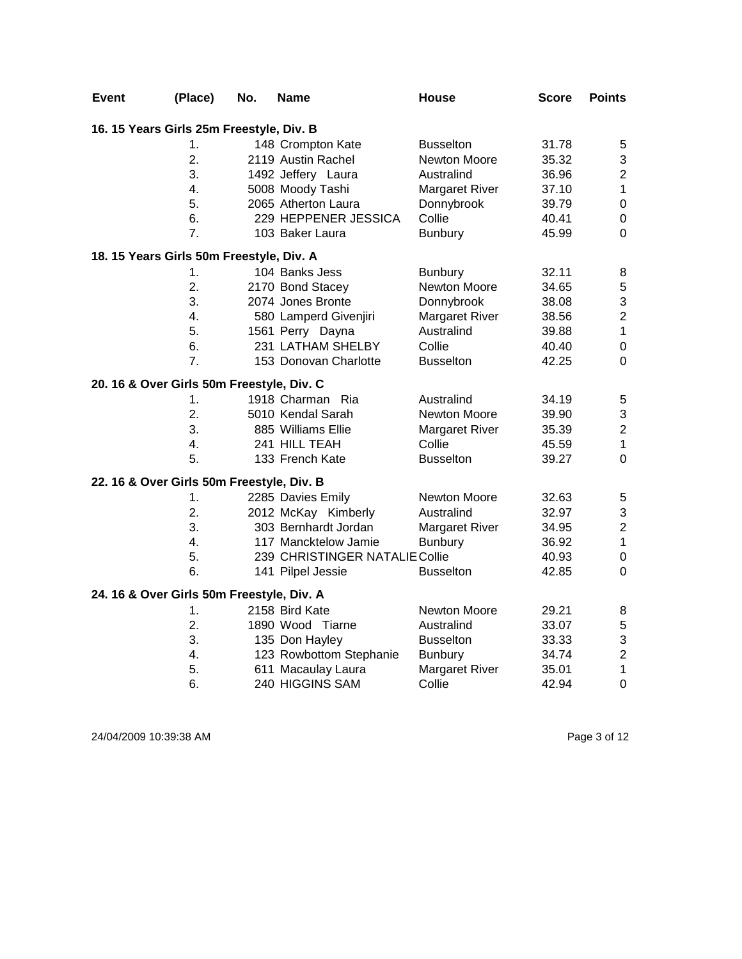| Event | (Place)                                   | No. | <b>Name</b>                    | <b>House</b>          | <b>Score</b> | <b>Points</b>    |
|-------|-------------------------------------------|-----|--------------------------------|-----------------------|--------------|------------------|
|       | 16. 15 Years Girls 25m Freestyle, Div. B  |     |                                |                       |              |                  |
|       | 1.                                        |     | 148 Crompton Kate              | <b>Busselton</b>      | 31.78        | 5                |
|       | 2.                                        |     | 2119 Austin Rachel             | Newton Moore          | 35.32        | 3                |
|       | 3.                                        |     | 1492 Jeffery Laura             | Australind            | 36.96        | $\boldsymbol{2}$ |
|       | 4.                                        |     | 5008 Moody Tashi               | <b>Margaret River</b> | 37.10        | $\mathbf 1$      |
|       | 5.                                        |     | 2065 Atherton Laura            | Donnybrook            | 39.79        | $\mathbf 0$      |
|       | 6.                                        |     | 229 HEPPENER JESSICA           | Collie                | 40.41        | $\boldsymbol{0}$ |
|       | 7.                                        |     | 103 Baker Laura                | <b>Bunbury</b>        | 45.99        | $\overline{0}$   |
|       | 18. 15 Years Girls 50m Freestyle, Div. A  |     |                                |                       |              |                  |
|       | 1.                                        |     | 104 Banks Jess                 | <b>Bunbury</b>        | 32.11        | 8                |
|       | 2.                                        |     | 2170 Bond Stacey               | Newton Moore          | 34.65        | 5                |
|       | 3.                                        |     | 2074 Jones Bronte              | Donnybrook            | 38.08        | 3                |
|       | 4.                                        |     | 580 Lamperd Givenjiri          | <b>Margaret River</b> | 38.56        | $\overline{c}$   |
|       | 5.                                        |     | 1561 Perry Dayna               | Australind            | 39.88        | $\mathbf{1}$     |
|       | 6.                                        |     | 231 LATHAM SHELBY              | Collie                | 40.40        | $\mathbf 0$      |
|       | $\overline{7}$ .                          |     | 153 Donovan Charlotte          | <b>Busselton</b>      | 42.25        | $\mathbf 0$      |
|       | 20. 16 & Over Girls 50m Freestyle, Div. C |     |                                |                       |              |                  |
|       | 1.                                        |     | 1918 Charman Ria               | Australind            | 34.19        | 5                |
|       | $\overline{2}$ .                          |     | 5010 Kendal Sarah              | Newton Moore          | 39.90        | 3                |
|       | 3.                                        |     | 885 Williams Ellie             | <b>Margaret River</b> | 35.39        | $\overline{c}$   |
|       | 4.                                        |     | 241 HILL TEAH                  | Collie                | 45.59        | $\mathbf{1}$     |
|       | 5.                                        |     | 133 French Kate                | <b>Busselton</b>      | 39.27        | $\mathbf 0$      |
|       | 22. 16 & Over Girls 50m Freestyle, Div. B |     |                                |                       |              |                  |
|       | 1.                                        |     | 2285 Davies Emily              | Newton Moore          | 32.63        | $\mathbf 5$      |
|       | 2.                                        |     | 2012 McKay Kimberly            | Australind            | 32.97        | 3                |
|       | 3.                                        |     | 303 Bernhardt Jordan           | Margaret River        | 34.95        | $\overline{c}$   |
|       | 4.                                        |     | 117 Mancktelow Jamie           | <b>Bunbury</b>        | 36.92        | $\mathbf 1$      |
|       | 5.                                        |     | 239 CHRISTINGER NATALIE Collie |                       | 40.93        | $\pmb{0}$        |
|       | 6.                                        |     | 141 Pilpel Jessie              | <b>Busselton</b>      | 42.85        | $\mathbf 0$      |
|       | 24. 16 & Over Girls 50m Freestyle, Div. A |     |                                |                       |              |                  |
|       | 1.                                        |     | 2158 Bird Kate                 | Newton Moore          | 29.21        | 8                |
|       | 2.                                        |     | 1890 Wood Tiarne               | Australind            | 33.07        | 5                |
|       | 3.                                        |     | 135 Don Hayley                 | <b>Busselton</b>      | 33.33        | 3                |
|       | 4.                                        |     | 123 Rowbottom Stephanie        | <b>Bunbury</b>        | 34.74        | $\overline{c}$   |
|       | 5.                                        |     | 611 Macaulay Laura             | <b>Margaret River</b> | 35.01        | $\mathbf{1}$     |
|       | 6.                                        |     | 240 HIGGINS SAM                | Collie                | 42.94        | $\mathbf 0$      |

24/04/2009 10:39:38 AM Page 3 of 12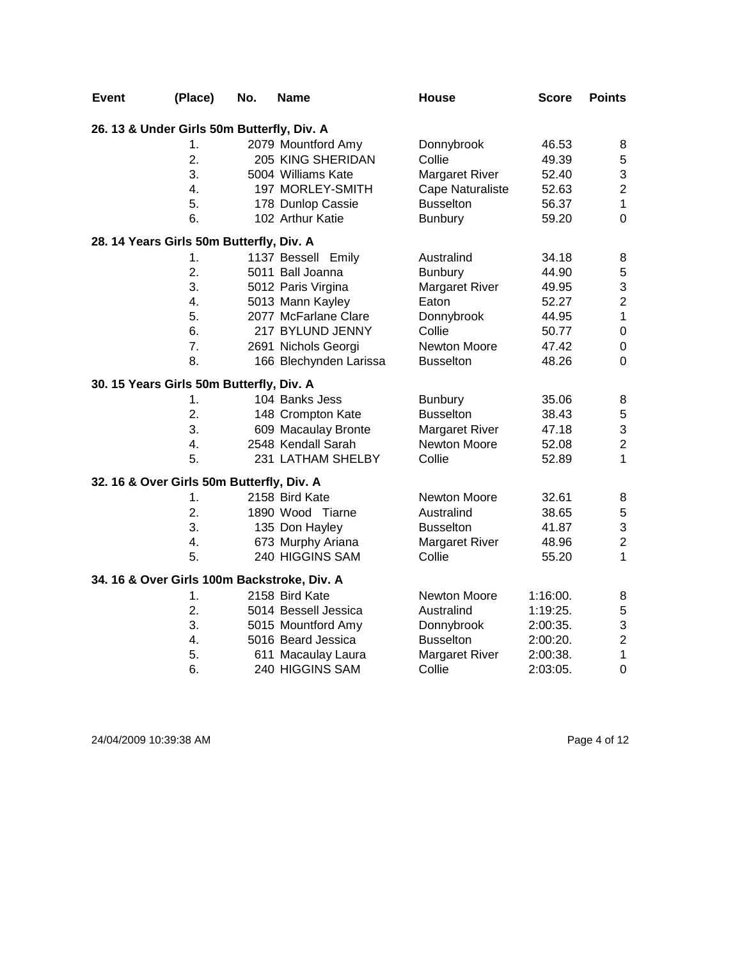| Event                                       | (Place)          | No. | <b>Name</b>            | <b>House</b>          | <b>Score</b> | <b>Points</b>           |
|---------------------------------------------|------------------|-----|------------------------|-----------------------|--------------|-------------------------|
| 26. 13 & Under Girls 50m Butterfly, Div. A  |                  |     |                        |                       |              |                         |
|                                             | 1.               |     | 2079 Mountford Amy     | Donnybrook            | 46.53        | 8                       |
|                                             | 2.               |     | 205 KING SHERIDAN      | Collie                | 49.39        | 5                       |
|                                             | 3.               |     | 5004 Williams Kate     | <b>Margaret River</b> | 52.40        | 3                       |
|                                             | $\overline{4}$ . |     | 197 MORLEY-SMITH       | Cape Naturaliste      | 52.63        | $\boldsymbol{2}$        |
|                                             | 5.               |     | 178 Dunlop Cassie      | <b>Busselton</b>      | 56.37        | $\mathbf{1}$            |
|                                             | 6.               |     | 102 Arthur Katie       | <b>Bunbury</b>        | 59.20        | $\overline{0}$          |
| 28. 14 Years Girls 50m Butterfly, Div. A    |                  |     |                        |                       |              |                         |
|                                             | 1.               |     | 1137 Bessell Emily     | Australind            | 34.18        | 8                       |
|                                             | 2.               |     | 5011 Ball Joanna       | <b>Bunbury</b>        | 44.90        | 5                       |
|                                             | 3.               |     | 5012 Paris Virgina     | <b>Margaret River</b> | 49.95        | 3                       |
|                                             | 4.               |     | 5013 Mann Kayley       | Eaton                 | 52.27        | $\overline{c}$          |
|                                             | 5.               |     | 2077 McFarlane Clare   | Donnybrook            | 44.95        | $\mathbf{1}$            |
|                                             | 6.               |     | 217 BYLUND JENNY       | Collie                | 50.77        | $\boldsymbol{0}$        |
|                                             | 7.               |     | 2691 Nichols Georgi    | Newton Moore          | 47.42        | $\boldsymbol{0}$        |
|                                             | 8.               |     | 166 Blechynden Larissa | <b>Busselton</b>      | 48.26        | $\overline{0}$          |
| 30. 15 Years Girls 50m Butterfly, Div. A    |                  |     |                        |                       |              |                         |
|                                             | 1.               |     | 104 Banks Jess         | <b>Bunbury</b>        | 35.06        | 8                       |
|                                             | 2.               |     | 148 Crompton Kate      | <b>Busselton</b>      | 38.43        | 5                       |
|                                             | 3.               |     | 609 Macaulay Bronte    | <b>Margaret River</b> | 47.18        | 3                       |
|                                             | 4.               |     | 2548 Kendall Sarah     | Newton Moore          | 52.08        | $\overline{c}$          |
|                                             | 5.               |     | 231 LATHAM SHELBY      | Collie                | 52.89        | $\mathbf{1}$            |
| 32. 16 & Over Girls 50m Butterfly, Div. A   |                  |     |                        |                       |              |                         |
|                                             | 1.               |     | 2158 Bird Kate         | Newton Moore          | 32.61        | 8                       |
|                                             | 2.               |     | 1890 Wood Tiarne       | Australind            | 38.65        | 5                       |
|                                             | 3.               |     | 135 Don Hayley         | <b>Busselton</b>      | 41.87        | 3                       |
|                                             | 4.               |     | 673 Murphy Ariana      | <b>Margaret River</b> | 48.96        | $\overline{\mathbf{c}}$ |
|                                             | 5.               |     | 240 HIGGINS SAM        | Collie                | 55.20        | $\mathbf 1$             |
| 34. 16 & Over Girls 100m Backstroke, Div. A |                  |     |                        |                       |              |                         |
|                                             | 1.               |     | 2158 Bird Kate         | Newton Moore          | 1:16:00.     | 8                       |
|                                             | 2.               |     | 5014 Bessell Jessica   | Australind            | 1:19:25.     | 5                       |
|                                             | 3.               |     | 5015 Mountford Amy     | Donnybrook            | 2:00:35.     | 3                       |
|                                             | 4.               |     | 5016 Beard Jessica     | <b>Busselton</b>      | 2:00:20.     | $\overline{c}$          |
|                                             | 5.               |     | 611 Macaulay Laura     | Margaret River        | 2:00:38.     | $\mathbf{1}$            |
|                                             | 6.               |     | 240 HIGGINS SAM        | Collie                | 2:03:05.     | $\mathbf 0$             |

24/04/2009 10:39:38 AM Page 4 of 12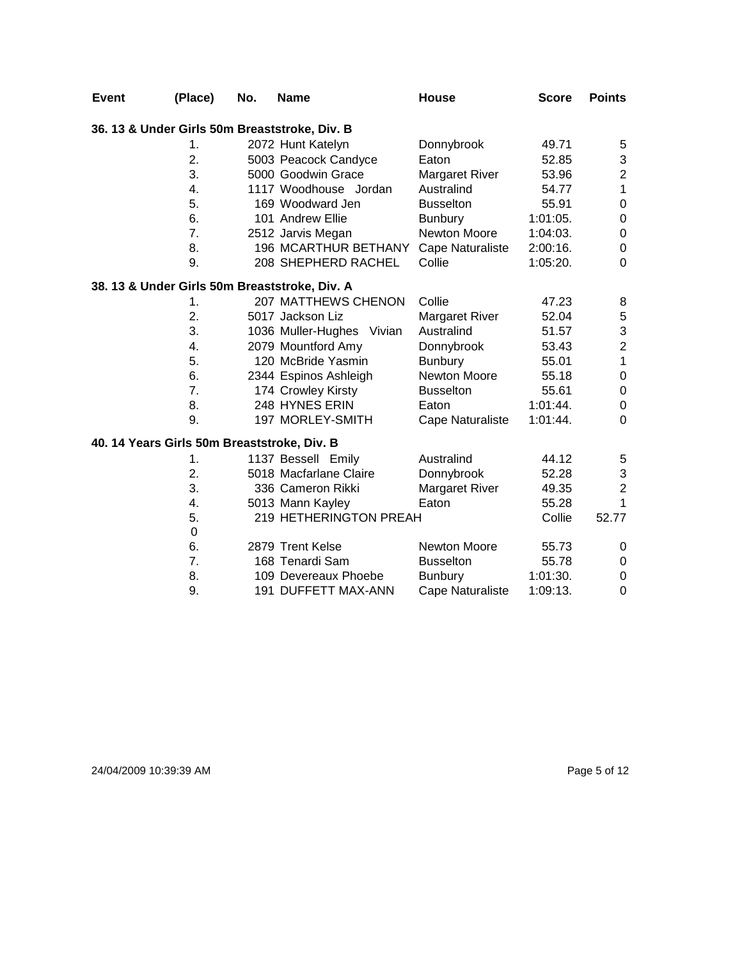| <b>Event</b> | (Place)                                     | No. | <b>Name</b>                                   | <b>House</b>          | <b>Score</b> | <b>Points</b>           |
|--------------|---------------------------------------------|-----|-----------------------------------------------|-----------------------|--------------|-------------------------|
|              |                                             |     | 36. 13 & Under Girls 50m Breaststroke, Div. B |                       |              |                         |
|              | 1.                                          |     | 2072 Hunt Katelyn                             | Donnybrook            | 49.71        | 5                       |
|              | 2.                                          |     | 5003 Peacock Candyce                          | Eaton                 | 52.85        | 3                       |
|              | 3.                                          |     | 5000 Goodwin Grace                            | <b>Margaret River</b> | 53.96        | $\overline{c}$          |
|              | 4.                                          |     | 1117 Woodhouse Jordan                         | Australind            | 54.77        | $\mathbf 1$             |
|              | 5.                                          |     | 169 Woodward Jen                              | <b>Busselton</b>      | 55.91        | 0                       |
|              | 6.                                          |     | 101 Andrew Ellie                              | <b>Bunbury</b>        | $1:01:05$ .  | 0                       |
|              | 7.                                          |     | 2512 Jarvis Megan                             | Newton Moore          | 1:04:03.     | $\pmb{0}$               |
|              | 8.                                          |     | <b>196 MCARTHUR BETHANY</b>                   | Cape Naturaliste      | 2:00:16.     | $\boldsymbol{0}$        |
|              | 9.                                          |     | 208 SHEPHERD RACHEL                           | Collie                | 1:05:20.     | $\Omega$                |
|              |                                             |     | 38. 13 & Under Girls 50m Breaststroke, Div. A |                       |              |                         |
|              | 1.                                          |     | <b>207 MATTHEWS CHENON</b>                    | Collie                | 47.23        | 8                       |
|              | 2.                                          |     | 5017 Jackson Liz                              | <b>Margaret River</b> | 52.04        | 5                       |
|              | 3.                                          |     | 1036 Muller-Hughes Vivian                     | Australind            | 51.57        | 3                       |
|              | 4.                                          |     | 2079 Mountford Amy                            | Donnybrook            | 53.43        | $\overline{\mathbf{c}}$ |
|              | 5.                                          |     | 120 McBride Yasmin                            | <b>Bunbury</b>        | 55.01        | $\mathbf{1}$            |
|              | 6.                                          |     | 2344 Espinos Ashleigh                         | <b>Newton Moore</b>   | 55.18        | 0                       |
|              | 7.                                          |     | 174 Crowley Kirsty                            | <b>Busselton</b>      | 55.61        | $\pmb{0}$               |
|              | 8.                                          |     | 248 HYNES ERIN                                | Eaton                 | 1:01:44.     | 0                       |
|              | 9.                                          |     | 197 MORLEY-SMITH                              | Cape Naturaliste      | 1:01:44.     | 0                       |
|              | 40. 14 Years Girls 50m Breaststroke, Div. B |     |                                               |                       |              |                         |
|              | 1.                                          |     | 1137 Bessell Emily                            | Australind            | 44.12        | 5                       |
|              | 2.                                          |     | 5018 Macfarlane Claire                        | Donnybrook            | 52.28        | 3                       |
|              | 3.                                          |     | 336 Cameron Rikki                             | Margaret River        | 49.35        | $\overline{2}$          |
|              | 4.                                          |     | 5013 Mann Kayley                              | Eaton                 | 55.28        | 1                       |
|              | 5.                                          |     | 219 HETHERINGTON PREAH                        |                       | Collie       | 52.77                   |
|              | $\mathbf 0$                                 |     |                                               |                       |              |                         |
|              | 6.                                          |     | 2879 Trent Kelse                              | <b>Newton Moore</b>   | 55.73        | 0                       |
|              | 7.                                          |     | 168 Tenardi Sam                               | <b>Busselton</b>      | 55.78        | 0                       |
|              | 8.                                          |     | 109 Devereaux Phoebe                          | <b>Bunbury</b>        | 1:01:30.     | 0                       |
|              | 9.                                          |     | 191 DUFFETT MAX-ANN                           | Cape Naturaliste      | 1:09:13.     | $\mathbf 0$             |

24/04/2009 10:39:39 AM Page 5 of 12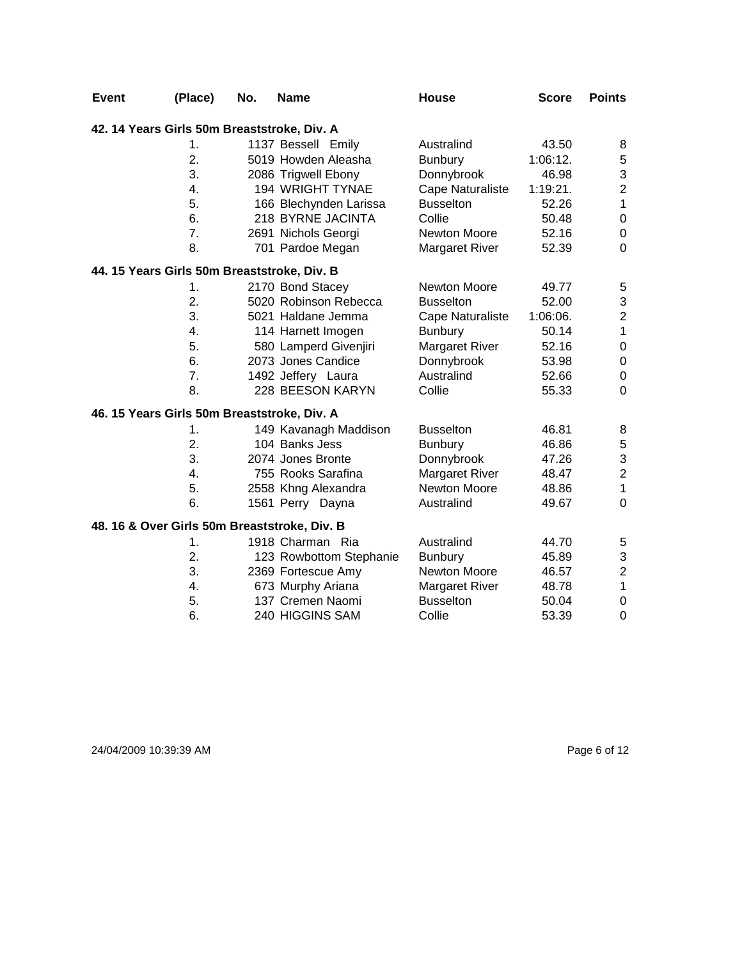| <b>Event</b> | (Place)                                      | No. | <b>Name</b>             | <b>House</b>          | <b>Score</b> | <b>Points</b>             |
|--------------|----------------------------------------------|-----|-------------------------|-----------------------|--------------|---------------------------|
|              | 42. 14 Years Girls 50m Breaststroke, Div. A  |     |                         |                       |              |                           |
|              | $\mathbf 1$ .                                |     | 1137 Bessell Emily      | Australind            | 43.50        | 8                         |
|              | 2.                                           |     | 5019 Howden Aleasha     | <b>Bunbury</b>        | 1:06:12.     | 5                         |
|              | 3.                                           |     | 2086 Trigwell Ebony     | Donnybrook            | 46.98        | $\ensuremath{\mathsf{3}}$ |
|              | 4.                                           |     | 194 WRIGHT TYNAE        | Cape Naturaliste      | 1:19:21.     | $\mathbf 2$               |
|              | 5.                                           |     | 166 Blechynden Larissa  | <b>Busselton</b>      | 52.26        | $\mathbf{1}$              |
|              | 6.                                           |     | 218 BYRNE JACINTA       | Collie                | 50.48        | $\boldsymbol{0}$          |
|              | 7.                                           |     | 2691 Nichols Georgi     | <b>Newton Moore</b>   | 52.16        | $\boldsymbol{0}$          |
|              | 8.                                           |     | 701 Pardoe Megan        | <b>Margaret River</b> | 52.39        | $\mathbf 0$               |
|              | 44. 15 Years Girls 50m Breaststroke, Div. B  |     |                         |                       |              |                           |
|              | 1.                                           |     | 2170 Bond Stacey        | Newton Moore          | 49.77        | 5                         |
|              | 2.                                           |     | 5020 Robinson Rebecca   | <b>Busselton</b>      | 52.00        | 3                         |
|              | 3.                                           |     | 5021 Haldane Jemma      | Cape Naturaliste      | 1:06:06.     | $\mathbf 2$               |
|              | $\overline{4}$ .                             |     | 114 Harnett Imogen      | <b>Bunbury</b>        | 50.14        | $\mathbf{1}$              |
|              | 5.                                           |     | 580 Lamperd Givenjiri   | <b>Margaret River</b> | 52.16        | $\pmb{0}$                 |
|              | 6.                                           |     | 2073 Jones Candice      | Donnybrook            | 53.98        | $\pmb{0}$                 |
|              | 7.                                           |     | 1492 Jeffery Laura      | Australind            | 52.66        | $\boldsymbol{0}$          |
|              | 8.                                           |     | 228 BEESON KARYN        | Collie                | 55.33        | $\mathbf 0$               |
|              | 46. 15 Years Girls 50m Breaststroke, Div. A  |     |                         |                       |              |                           |
|              | 1.                                           |     | 149 Kavanagh Maddison   | <b>Busselton</b>      | 46.81        | 8                         |
|              | 2.                                           |     | 104 Banks Jess          | Bunbury               | 46.86        | $\mathbf 5$               |
|              | 3.                                           |     | 2074 Jones Bronte       | Donnybrook            | 47.26        | $\ensuremath{\mathsf{3}}$ |
|              | 4.                                           |     | 755 Rooks Sarafina      | Margaret River        | 48.47        | $\mathbf 2$               |
|              | 5.                                           |     | 2558 Khng Alexandra     | <b>Newton Moore</b>   | 48.86        | $\mathbf{1}$              |
|              | 6.                                           |     | 1561 Perry Dayna        | Australind            | 49.67        | $\mathbf 0$               |
|              | 48. 16 & Over Girls 50m Breaststroke, Div. B |     |                         |                       |              |                           |
|              | 1.                                           |     | 1918 Charman Ria        | Australind            | 44.70        | 5                         |
|              | 2.                                           |     | 123 Rowbottom Stephanie | <b>Bunbury</b>        | 45.89        | $\ensuremath{\mathsf{3}}$ |
|              | 3.                                           |     | 2369 Fortescue Amy      | Newton Moore          | 46.57        | $\mathbf 2$               |
|              | 4.                                           |     | 673 Murphy Ariana       | <b>Margaret River</b> | 48.78        | $\mathbf 1$               |
|              | 5.                                           |     | 137 Cremen Naomi        | <b>Busselton</b>      | 50.04        | $\boldsymbol{0}$          |
|              | 6.                                           |     | 240 HIGGINS SAM         | Collie                | 53.39        | $\mathbf 0$               |

## 24/04/2009 10:39:39 AM Page 6 of 12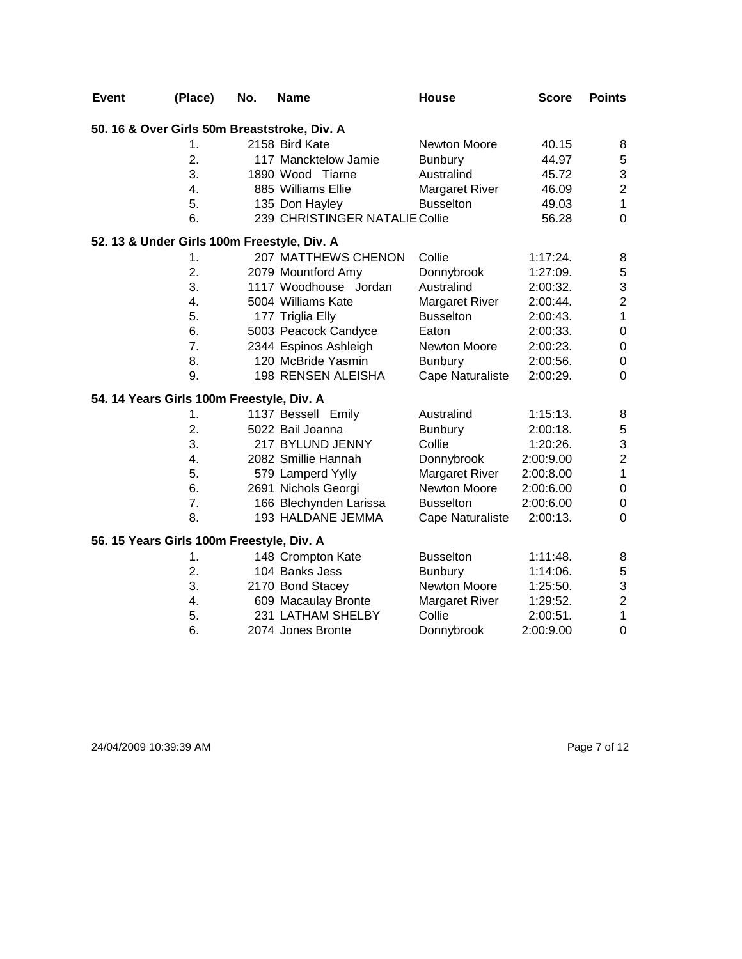| <b>Event</b> | (Place)                                      | No. | <b>Name</b>                    | <b>House</b>          | <b>Score</b> | <b>Points</b>           |
|--------------|----------------------------------------------|-----|--------------------------------|-----------------------|--------------|-------------------------|
|              | 50. 16 & Over Girls 50m Breaststroke, Div. A |     |                                |                       |              |                         |
|              | 1.                                           |     | 2158 Bird Kate                 | <b>Newton Moore</b>   | 40.15        | 8                       |
|              | $\overline{2}$ .                             |     | 117 Mancktelow Jamie           | <b>Bunbury</b>        | 44.97        | 5                       |
|              | 3.                                           |     | 1890 Wood Tiarne               | Australind            | 45.72        | 3                       |
|              | 4.                                           |     | 885 Williams Ellie             | <b>Margaret River</b> | 46.09        | $\overline{\mathbf{c}}$ |
|              | 5.                                           |     | 135 Don Hayley                 | <b>Busselton</b>      | 49.03        | $\mathbf{1}$            |
|              | 6.                                           |     | 239 CHRISTINGER NATALIE Collie |                       | 56.28        | $\mathbf 0$             |
|              | 52. 13 & Under Girls 100m Freestyle, Div. A  |     |                                |                       |              |                         |
|              | 1.                                           |     | 207 MATTHEWS CHENON            | Collie                | 1:17:24.     | 8                       |
|              | 2.                                           |     | 2079 Mountford Amy             | Donnybrook            | 1:27:09.     | $\sqrt{5}$              |
|              | 3.                                           |     | 1117 Woodhouse Jordan          | Australind            | 2:00:32.     | 3                       |
|              | 4.                                           |     | 5004 Williams Kate             | Margaret River        | 2:00:44.     | $\overline{\mathbf{c}}$ |
|              | 5.                                           |     | 177 Triglia Elly               | <b>Busselton</b>      | 2:00:43.     | $\mathbf{1}$            |
|              | 6.                                           |     | 5003 Peacock Candyce           | Eaton                 | 2:00:33.     | $\pmb{0}$               |
|              | 7.                                           |     | 2344 Espinos Ashleigh          | Newton Moore          | $2:00:23$ .  | $\boldsymbol{0}$        |
|              | 8.                                           |     | 120 McBride Yasmin             | <b>Bunbury</b>        | 2:00:56.     | $\boldsymbol{0}$        |
|              | 9.                                           |     | 198 RENSEN ALEISHA             | Cape Naturaliste      | 2:00:29.     | 0                       |
|              | 54. 14 Years Girls 100m Freestyle, Div. A    |     |                                |                       |              |                         |
|              | 1.                                           |     | 1137 Bessell Emily             | Australind            | 1:15:13.     | 8                       |
|              | 2.                                           |     | 5022 Bail Joanna               | <b>Bunbury</b>        | 2:00:18.     | $\sqrt{5}$              |
|              | 3.                                           |     | 217 BYLUND JENNY               | Collie                | 1:20:26.     | 3                       |
|              | 4.                                           |     | 2082 Smillie Hannah            | Donnybrook            | 2:00:9.00    | $\overline{c}$          |
|              | 5.                                           |     | 579 Lamperd Yylly              | <b>Margaret River</b> | 2:00:8.00    | $\mathbf{1}$            |
|              | 6.                                           |     | 2691 Nichols Georgi            | Newton Moore          | 2:00:6.00    | $\mathbf 0$             |
|              | 7.                                           |     | 166 Blechynden Larissa         | <b>Busselton</b>      | 2:00:6.00    | $\boldsymbol{0}$        |
|              | 8.                                           |     | 193 HALDANE JEMMA              | Cape Naturaliste      | 2:00:13.     | $\mathbf 0$             |
|              | 56. 15 Years Girls 100m Freestyle, Div. A    |     |                                |                       |              |                         |
|              | $\mathbf 1$ .                                |     | 148 Crompton Kate              | <b>Busselton</b>      | 1:11:48.     | 8                       |
|              | 2.                                           |     | 104 Banks Jess                 | <b>Bunbury</b>        | 1:14:06.     | $\mathbf 5$             |
|              | 3.                                           |     | 2170 Bond Stacey               | Newton Moore          | 1:25:50.     | 3                       |
|              | 4.                                           |     | 609 Macaulay Bronte            | Margaret River        | 1:29:52.     | $\overline{c}$          |
|              | 5.                                           |     | 231 LATHAM SHELBY              | Collie                | 2:00:51.     | $\mathbf{1}$            |
|              | 6.                                           |     | 2074 Jones Bronte              | Donnybrook            | 2:00:9.00    | $\mathbf 0$             |

24/04/2009 10:39:39 AM Page 7 of 12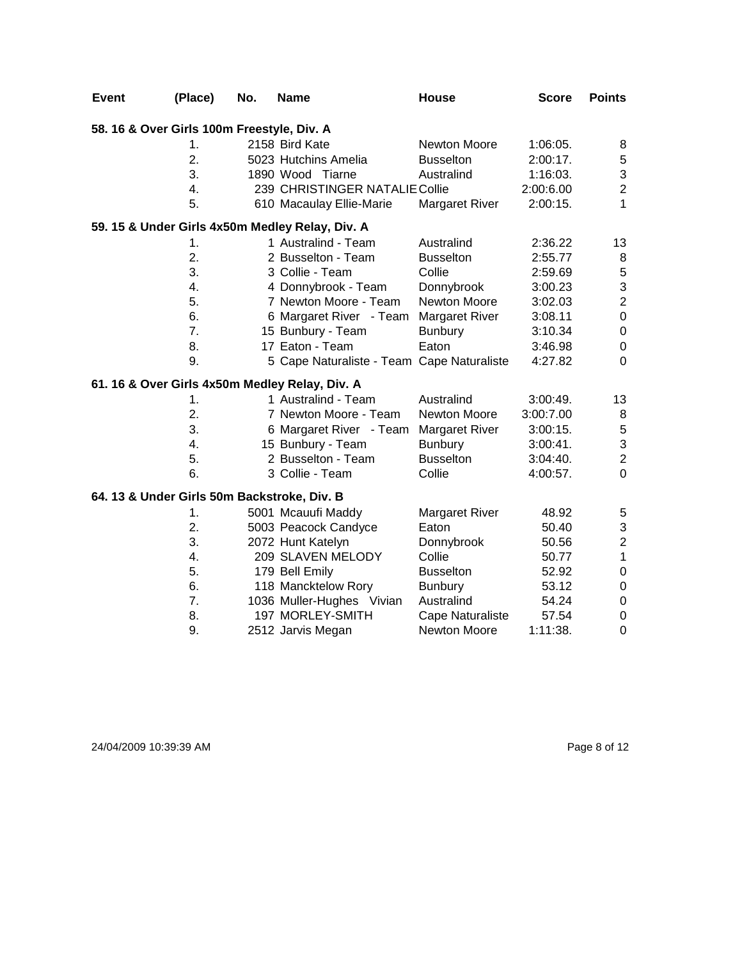| <b>Event</b>                                | (Place)       | No. | <b>Name</b>                                     | House                   | <b>Score</b> | <b>Points</b>             |
|---------------------------------------------|---------------|-----|-------------------------------------------------|-------------------------|--------------|---------------------------|
| 58. 16 & Over Girls 100m Freestyle, Div. A  |               |     |                                                 |                         |              |                           |
|                                             | 1.            |     | 2158 Bird Kate                                  | <b>Newton Moore</b>     | 1:06:05.     | 8                         |
|                                             | 2.            |     | 5023 Hutchins Amelia                            | <b>Busselton</b>        | 2:00:17.     | $\,$ 5 $\,$               |
|                                             | 3.            |     | 1890 Wood Tiarne                                | Australind              | 1:16:03.     | $\ensuremath{\mathsf{3}}$ |
|                                             | 4.            |     | 239 CHRISTINGER NATALIE Collie                  |                         | 2:00:6.00    | $\mathbf 2$               |
|                                             | 5.            |     | 610 Macaulay Ellie-Marie                        | <b>Margaret River</b>   | 2:00:15.     | 1                         |
|                                             |               |     | 59. 15 & Under Girls 4x50m Medley Relay, Div. A |                         |              |                           |
|                                             | 1.            |     | 1 Australind - Team                             | Australind              | 2:36.22      | 13                        |
|                                             | 2.            |     | 2 Busselton - Team                              | <b>Busselton</b>        | 2:55.77      | 8                         |
|                                             | 3.            |     | 3 Collie - Team                                 | Collie                  | 2:59.69      | $\mathbf 5$               |
|                                             | 4.            |     | 4 Donnybrook - Team                             | Donnybrook              | 3:00.23      | $\mathsf 3$               |
|                                             | 5.            |     | 7 Newton Moore - Team                           | Newton Moore            | 3:02.03      | $\overline{2}$            |
|                                             | 6.            |     | 6 Margaret River - Team                         | Margaret River          | 3:08.11      | $\mathbf 0$               |
|                                             | 7.            |     | 15 Bunbury - Team                               | <b>Bunbury</b>          | 3:10.34      | $\pmb{0}$                 |
|                                             | 8.            |     | 17 Eaton - Team                                 | Eaton                   | 3:46.98      | $\pmb{0}$                 |
|                                             | 9.            |     | 5 Cape Naturaliste - Team Cape Naturaliste      |                         | 4:27.82      | $\mathbf 0$               |
|                                             |               |     | 61. 16 & Over Girls 4x50m Medley Relay, Div. A  |                         |              |                           |
|                                             | $\mathbf 1$ . |     | 1 Australind - Team                             | Australind              | 3:00:49.     | 13                        |
|                                             | 2.            |     | 7 Newton Moore - Team                           | <b>Newton Moore</b>     | 3:00:7.00    | 8                         |
|                                             | 3.            |     | 6 Margaret River - Team                         | <b>Margaret River</b>   | 3:00:15.     | $\sqrt{5}$                |
|                                             | 4.            |     | 15 Bunbury - Team                               | <b>Bunbury</b>          | $3:00:41$ .  | $\mathfrak{S}$            |
|                                             | 5.            |     | 2 Busselton - Team                              | <b>Busselton</b>        | 3:04:40.     | $\overline{c}$            |
|                                             | 6.            |     | 3 Collie - Team                                 | Collie                  | 4:00:57.     | $\mathbf 0$               |
| 64. 13 & Under Girls 50m Backstroke, Div. B |               |     |                                                 |                         |              |                           |
|                                             | 1.            |     | 5001 Mcauufi Maddy                              | <b>Margaret River</b>   | 48.92        | 5                         |
|                                             | 2.            |     | 5003 Peacock Candyce                            | Eaton                   | 50.40        | $\ensuremath{\mathsf{3}}$ |
|                                             | 3.            |     | 2072 Hunt Katelyn                               | Donnybrook              | 50.56        | $\boldsymbol{2}$          |
|                                             | 4.            |     | 209 SLAVEN MELODY                               | Collie                  | 50.77        | $\mathbf{1}$              |
|                                             | 5.            |     | 179 Bell Emily                                  | <b>Busselton</b>        | 52.92        | $\pmb{0}$                 |
|                                             | 6.            |     | 118 Mancktelow Rory                             | <b>Bunbury</b>          | 53.12        | $\boldsymbol{0}$          |
|                                             | 7.            |     | 1036 Muller-Hughes Vivian                       | Australind              | 54.24        | $\pmb{0}$                 |
|                                             | 8.            |     | 197 MORLEY-SMITH                                | <b>Cape Naturaliste</b> | 57.54        | $\boldsymbol{0}$          |
|                                             | 9.            |     | 2512 Jarvis Megan                               | <b>Newton Moore</b>     | 1:11:38.     | $\mathbf 0$               |

24/04/2009 10:39:39 AM Page 8 of 12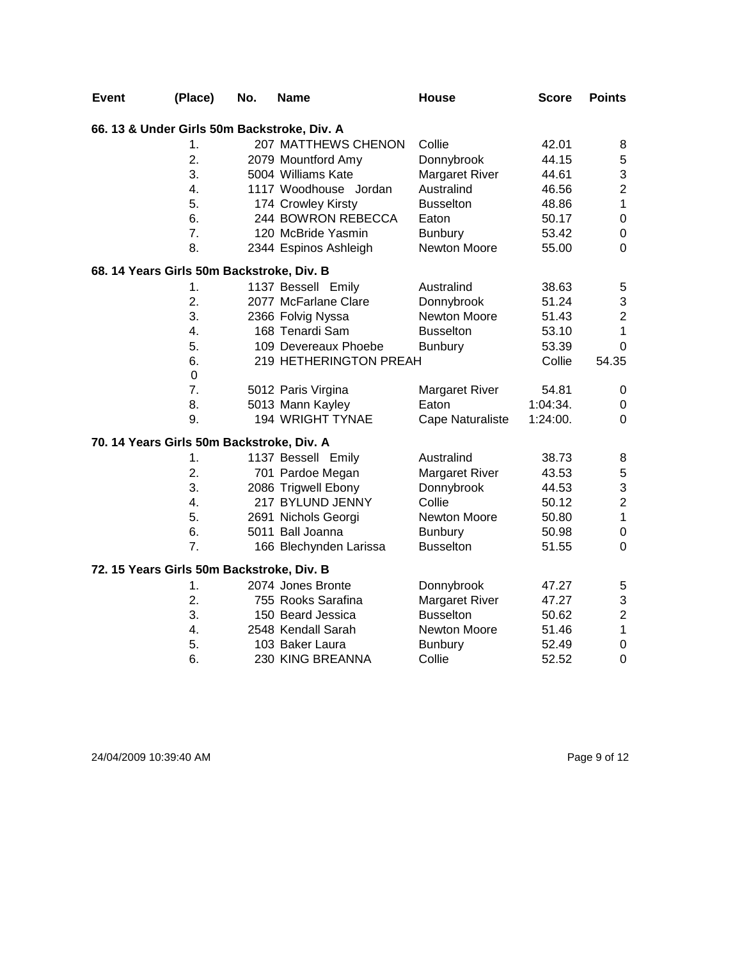| <b>Event</b> | (Place)                                     | No. | <b>Name</b>            | <b>House</b>          | <b>Score</b> | <b>Points</b>           |
|--------------|---------------------------------------------|-----|------------------------|-----------------------|--------------|-------------------------|
|              | 66. 13 & Under Girls 50m Backstroke, Div. A |     |                        |                       |              |                         |
|              | 1.                                          |     | 207 MATTHEWS CHENON    | Collie                | 42.01        | 8                       |
|              | $\overline{2}$ .                            |     | 2079 Mountford Amy     | Donnybrook            | 44.15        | $\mathbf 5$             |
|              | 3.                                          |     | 5004 Williams Kate     | <b>Margaret River</b> | 44.61        | 3                       |
|              | 4.                                          |     | 1117 Woodhouse Jordan  | Australind            | 46.56        | $\overline{c}$          |
|              | 5.                                          |     | 174 Crowley Kirsty     | <b>Busselton</b>      | 48.86        | $\mathbf{1}$            |
|              | 6.                                          |     | 244 BOWRON REBECCA     | Eaton                 | 50.17        | $\boldsymbol{0}$        |
|              | 7.                                          |     | 120 McBride Yasmin     | <b>Bunbury</b>        | 53.42        | $\boldsymbol{0}$        |
|              | 8.                                          |     | 2344 Espinos Ashleigh  | Newton Moore          | 55.00        | $\mathbf 0$             |
|              | 68. 14 Years Girls 50m Backstroke, Div. B   |     |                        |                       |              |                         |
|              | 1.                                          |     | 1137 Bessell Emily     | Australind            | 38.63        | 5                       |
|              | 2.                                          |     | 2077 McFarlane Clare   | Donnybrook            | 51.24        | 3                       |
|              | 3.                                          |     | 2366 Folvig Nyssa      | Newton Moore          | 51.43        | $\overline{\mathbf{c}}$ |
|              | 4.                                          |     | 168 Tenardi Sam        | <b>Busselton</b>      | 53.10        | $\mathbf{1}$            |
|              | 5.                                          |     | 109 Devereaux Phoebe   | <b>Bunbury</b>        | 53.39        | 0                       |
|              | 6.                                          |     | 219 HETHERINGTON PREAH |                       | Collie       | 54.35                   |
|              | $\mathbf 0$                                 |     |                        |                       |              |                         |
|              | 7.                                          |     | 5012 Paris Virgina     | Margaret River        | 54.81        | $\pmb{0}$               |
|              | 8.                                          |     | 5013 Mann Kayley       | Eaton                 | 1:04:34.     | 0                       |
|              | 9.                                          |     | 194 WRIGHT TYNAE       | Cape Naturaliste      | 1:24:00.     | 0                       |
|              | 70. 14 Years Girls 50m Backstroke, Div. A   |     |                        |                       |              |                         |
|              | 1.                                          |     | 1137 Bessell Emily     | Australind            | 38.73        | 8                       |
|              | 2.                                          |     | 701 Pardoe Megan       | <b>Margaret River</b> | 43.53        | 5                       |
|              | 3.                                          |     | 2086 Trigwell Ebony    | Donnybrook            | 44.53        | 3                       |
|              | 4.                                          |     | 217 BYLUND JENNY       | Collie                | 50.12        | $\mathbf 2$             |
|              | 5.                                          |     | 2691 Nichols Georgi    | Newton Moore          | 50.80        | $\mathbf 1$             |
|              | 6.                                          |     | 5011 Ball Joanna       | <b>Bunbury</b>        | 50.98        | $\boldsymbol{0}$        |
|              | 7.                                          |     | 166 Blechynden Larissa | <b>Busselton</b>      | 51.55        | $\overline{0}$          |
|              | 72. 15 Years Girls 50m Backstroke, Div. B   |     |                        |                       |              |                         |
|              | 1.                                          |     | 2074 Jones Bronte      | Donnybrook            | 47.27        | 5                       |
|              | 2.                                          |     | 755 Rooks Sarafina     | Margaret River        | 47.27        | 3                       |
|              | 3.                                          |     | 150 Beard Jessica      | <b>Busselton</b>      | 50.62        | $\overline{c}$          |
|              | 4.                                          |     | 2548 Kendall Sarah     | Newton Moore          | 51.46        | $\mathbf 1$             |
|              | 5.                                          |     | 103 Baker Laura        | <b>Bunbury</b>        | 52.49        | $\boldsymbol{0}$        |
|              | 6.                                          |     | 230 KING BREANNA       | Collie                | 52.52        | $\mathbf 0$             |

24/04/2009 10:39:40 AM Page 9 of 12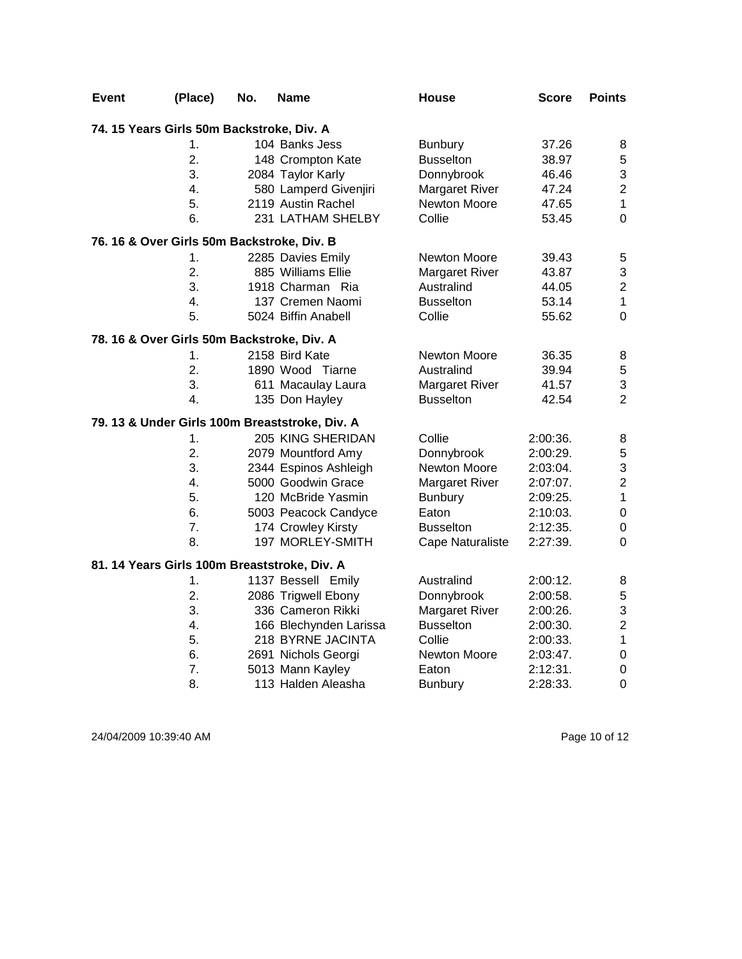| Event | (Place)                                      | No. | Name                                           | <b>House</b>          | <b>Score</b> | <b>Points</b>           |
|-------|----------------------------------------------|-----|------------------------------------------------|-----------------------|--------------|-------------------------|
|       | 74. 15 Years Girls 50m Backstroke, Div. A    |     |                                                |                       |              |                         |
|       | 1.                                           |     | 104 Banks Jess                                 | <b>Bunbury</b>        | 37.26        | 8                       |
|       | $\overline{2}$ .                             |     | 148 Crompton Kate                              | <b>Busselton</b>      | 38.97        | 5                       |
|       | 3.                                           |     | 2084 Taylor Karly                              | Donnybrook            | 46.46        | 3                       |
|       | 4.                                           |     | 580 Lamperd Givenjiri                          | <b>Margaret River</b> | 47.24        | $\overline{2}$          |
|       | 5.                                           |     | 2119 Austin Rachel                             | Newton Moore          | 47.65        | $\mathbf 1$             |
|       | 6.                                           |     | 231 LATHAM SHELBY                              | Collie                | 53.45        | $\mathbf 0$             |
|       | 76. 16 & Over Girls 50m Backstroke, Div. B   |     |                                                |                       |              |                         |
|       | 1.                                           |     | 2285 Davies Emily                              | Newton Moore          | 39.43        | 5                       |
|       | $\overline{2}$ .                             |     | 885 Williams Ellie                             | Margaret River        | 43.87        | 3                       |
|       | 3.                                           |     | 1918 Charman Ria                               | Australind            | 44.05        | $\overline{c}$          |
|       | 4.                                           |     | 137 Cremen Naomi                               | <b>Busselton</b>      | 53.14        | $\mathbf 1$             |
|       | 5.                                           |     | 5024 Biffin Anabell                            | Collie                | 55.62        | $\mathbf 0$             |
|       | 78. 16 & Over Girls 50m Backstroke, Div. A   |     |                                                |                       |              |                         |
|       | 1.                                           |     | 2158 Bird Kate                                 | Newton Moore          | 36.35        | 8                       |
|       | 2.                                           |     | 1890 Wood Tiarne                               | Australind            | 39.94        | $\sqrt{5}$              |
|       | 3.                                           |     | 611 Macaulay Laura                             | <b>Margaret River</b> | 41.57        | 3                       |
|       | 4.                                           |     | 135 Don Hayley                                 | <b>Busselton</b>      | 42.54        | $\overline{2}$          |
|       |                                              |     | 79. 13 & Under Girls 100m Breaststroke, Div. A |                       |              |                         |
|       | 1.                                           |     | 205 KING SHERIDAN                              | Collie                | 2:00:36.     | 8                       |
|       | 2.                                           |     | 2079 Mountford Amy                             | Donnybrook            | 2:00:29.     | 5                       |
|       | 3.                                           |     | 2344 Espinos Ashleigh                          | Newton Moore          | 2:03:04.     | 3                       |
|       | 4.                                           |     | 5000 Goodwin Grace                             | Margaret River        | 2:07:07.     | $\overline{c}$          |
|       | 5.                                           |     | 120 McBride Yasmin                             | <b>Bunbury</b>        | 2:09:25.     | $\mathbf 1$             |
|       | 6.                                           |     | 5003 Peacock Candyce                           | Eaton                 | 2:10:03.     | $\boldsymbol{0}$        |
|       | 7.                                           |     | 174 Crowley Kirsty                             | <b>Busselton</b>      | 2:12:35.     | $\boldsymbol{0}$        |
|       | 8.                                           |     | 197 MORLEY-SMITH                               | Cape Naturaliste      | 2:27:39.     | $\Omega$                |
|       | 81. 14 Years Girls 100m Breaststroke, Div. A |     |                                                |                       |              |                         |
|       | 1.                                           |     | 1137 Bessell Emily                             | Australind            | 2:00:12.     | 8                       |
|       | 2.                                           |     | 2086 Trigwell Ebony                            | Donnybrook            | 2:00:58.     | 5                       |
|       | 3.                                           |     | 336 Cameron Rikki                              | <b>Margaret River</b> | 2:00:26.     | 3                       |
|       | 4.                                           |     | 166 Blechynden Larissa                         | <b>Busselton</b>      | 2:00:30.     | $\overline{\mathbf{c}}$ |
|       | 5.                                           |     | 218 BYRNE JACINTA                              | Collie                | 2:00:33.     | $\mathbf 1$             |
|       | 6.                                           |     | 2691 Nichols Georgi                            | Newton Moore          | 2:03:47.     | $\boldsymbol{0}$        |
|       | 7.                                           |     | 5013 Mann Kayley                               | Eaton                 | 2:12:31.     | $\mathbf 0$             |
|       | 8.                                           |     | 113 Halden Aleasha                             | <b>Bunbury</b>        | 2:28:33.     | $\mathbf 0$             |

24/04/2009 10:39:40 AM Page 10 of 12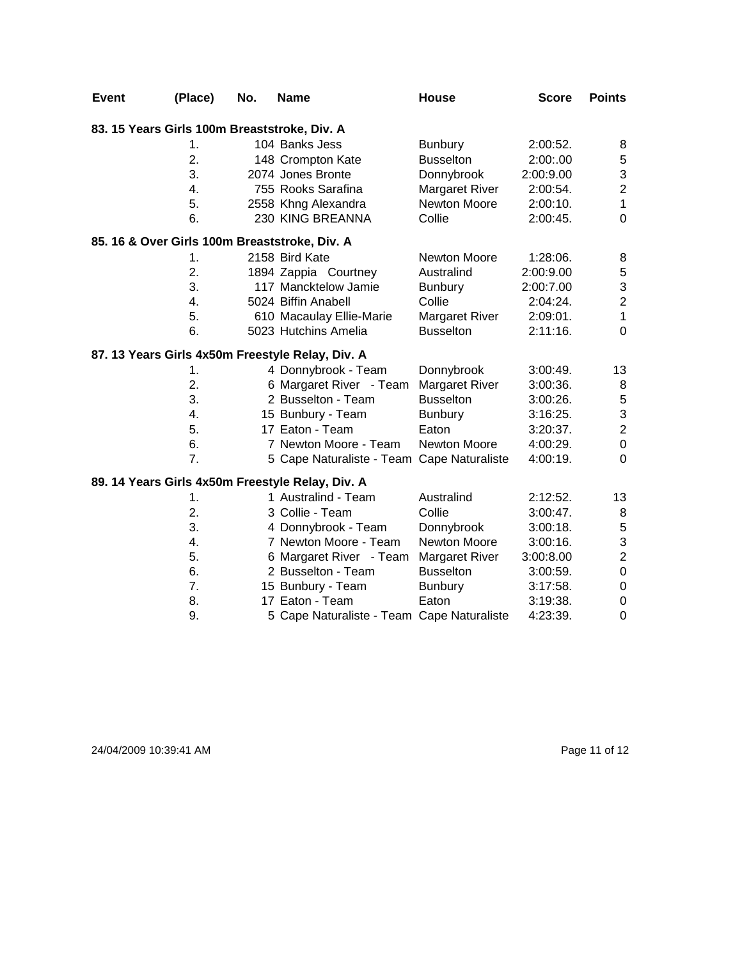| <b>Event</b> | (Place)       | No. | <b>Name</b>                                      | House                 | <b>Score</b> | <b>Points</b>             |
|--------------|---------------|-----|--------------------------------------------------|-----------------------|--------------|---------------------------|
|              |               |     | 83. 15 Years Girls 100m Breaststroke, Div. A     |                       |              |                           |
|              | $\mathbf 1$ . |     | 104 Banks Jess                                   | <b>Bunbury</b>        | 2:00:52.     | 8                         |
|              | 2.            |     | 148 Crompton Kate                                | <b>Busselton</b>      | 2:00:.00     | $\,$ 5 $\,$               |
|              | 3.            |     | 2074 Jones Bronte                                | Donnybrook            | 2:00:9.00    | $\ensuremath{\mathsf{3}}$ |
|              | 4.            |     | 755 Rooks Sarafina                               | <b>Margaret River</b> | 2:00:54.     | $\overline{2}$            |
|              | 5.            |     | 2558 Khng Alexandra                              | Newton Moore          | 2:00:10.     | $\mathbf{1}$              |
|              | 6.            |     | 230 KING BREANNA                                 | Collie                | 2:00:45.     | $\mathbf 0$               |
|              |               |     | 85. 16 & Over Girls 100m Breaststroke, Div. A    |                       |              |                           |
|              | 1.            |     | 2158 Bird Kate                                   | <b>Newton Moore</b>   | 1:28:06.     | 8                         |
|              | 2.            |     | 1894 Zappia Courtney                             | Australind            | 2:00:9.00    | $\mathbf 5$               |
|              | 3.            |     | 117 Mancktelow Jamie                             | <b>Bunbury</b>        | 2:00:7.00    | 3                         |
|              | 4.            |     | 5024 Biffin Anabell                              | Collie                | 2:04:24.     | $\overline{\mathbf{c}}$   |
|              | 5.            |     | 610 Macaulay Ellie-Marie                         | <b>Margaret River</b> | 2:09:01.     | $\mathbf{1}$              |
|              | 6.            |     | 5023 Hutchins Amelia                             | <b>Busselton</b>      | 2:11:16.     | $\boldsymbol{0}$          |
|              |               |     | 87. 13 Years Girls 4x50m Freestyle Relay, Div. A |                       |              |                           |
|              | 1.            |     | 4 Donnybrook - Team                              | Donnybrook            | 3:00:49.     | 13                        |
|              | 2.            |     | 6 Margaret River - Team                          | <b>Margaret River</b> | 3:00:36.     | 8                         |
|              | 3.            |     | 2 Busselton - Team                               | <b>Busselton</b>      | $3:00:26$ .  | $\sqrt{5}$                |
|              | 4.            |     | 15 Bunbury - Team                                | <b>Bunbury</b>        | 3:16:25.     | 3                         |
|              | 5.            |     | 17 Eaton - Team                                  | Eaton                 | 3:20:37.     | $\boldsymbol{2}$          |
|              | 6.            |     | 7 Newton Moore - Team                            | Newton Moore          | 4:00:29.     | $\pmb{0}$                 |
|              | 7.            |     | 5 Cape Naturaliste - Team Cape Naturaliste       |                       | 4:00:19.     | 0                         |
|              |               |     | 89. 14 Years Girls 4x50m Freestyle Relay, Div. A |                       |              |                           |
|              | 1.            |     | 1 Australind - Team                              | Australind            | 2:12:52.     | 13                        |
|              | 2.            |     | 3 Collie - Team                                  | Collie                | $3:00:47$ .  | 8                         |
|              | 3.            |     | 4 Donnybrook - Team                              | Donnybrook            | 3:00:18.     | $\mathbf 5$               |
|              | 4.            |     | 7 Newton Moore - Team                            | <b>Newton Moore</b>   | $3:00:16$ .  | $\ensuremath{\mathsf{3}}$ |
|              | 5.            |     | 6 Margaret River - Team                          | <b>Margaret River</b> | 3:00:8.00    | $\overline{c}$            |
|              | 6.            |     | 2 Busselton - Team                               | <b>Busselton</b>      | 3:00:59.     | $\boldsymbol{0}$          |
|              | 7.            |     | 15 Bunbury - Team                                | <b>Bunbury</b>        | $3:17:58$ .  | $\pmb{0}$                 |
|              | 8.            |     | 17 Eaton - Team                                  | Eaton                 | 3:19:38.     | $\pmb{0}$                 |
|              | 9.            |     | 5 Cape Naturaliste - Team Cape Naturaliste       |                       | 4:23:39.     | 0                         |

24/04/2009 10:39:41 AM Page 11 of 12